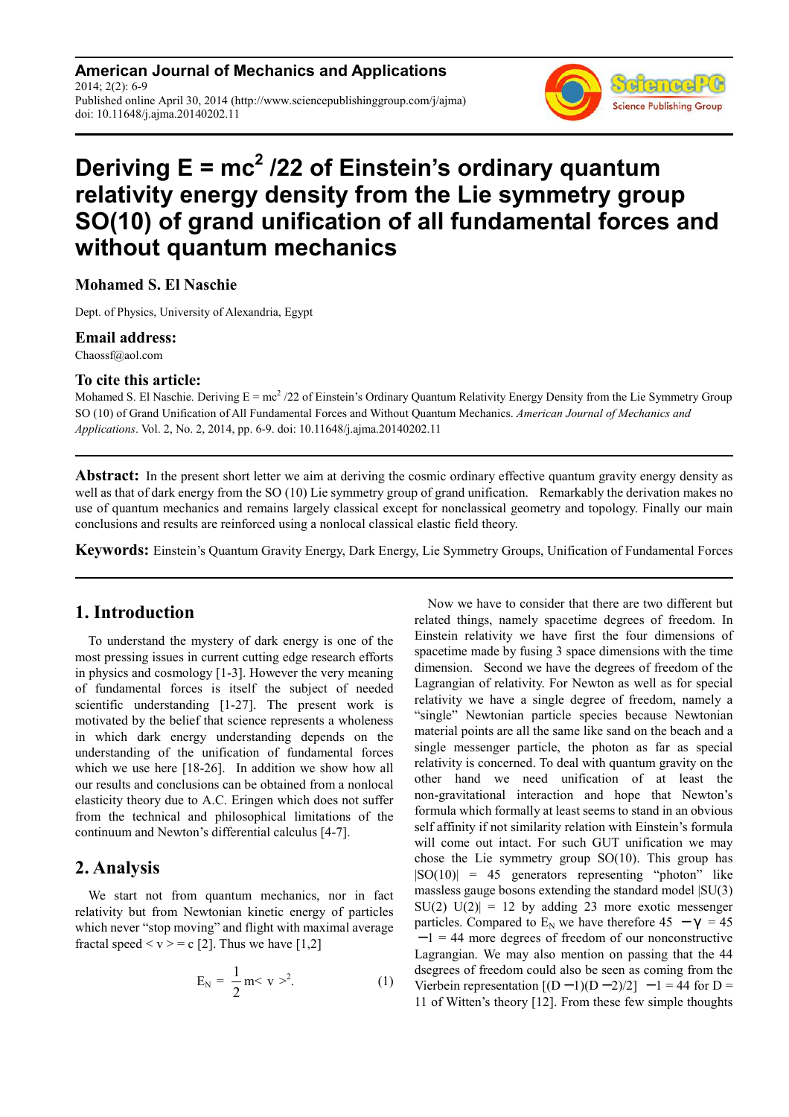**American Journal of Mechanics and Applications** 2014; 2(2): 6-9 Published online April 30, 2014 (http://www.sciencepublishinggroup.com/j/ajma) doi: 10.11648/j.ajma.20140202.11



# **Deriving E = mc<sup>2</sup> /22 of Einstein's ordinary quantum relativity energy density from the Lie symmetry group SO(10) of grand unification of all fundamental forces and without quantum mechanics**

**Mohamed S. El Naschie** 

Dept. of Physics, University of Alexandria, Egypt

#### **Email address:**

Chaossf@aol.com

### **To cite this article:**

Mohamed S. El Naschie. Deriving  $E = mc^2/22$  of Einstein's Ordinary Quantum Relativity Energy Density from the Lie Symmetry Group SO (10) of Grand Unification of All Fundamental Forces and Without Quantum Mechanics. *American Journal of Mechanics and Applications*. Vol. 2, No. 2, 2014, pp. 6-9. doi: 10.11648/j.ajma.20140202.11

**Abstract:** In the present short letter we aim at deriving the cosmic ordinary effective quantum gravity energy density as well as that of dark energy from the SO (10) Lie symmetry group of grand unification. Remarkably the derivation makes no use of quantum mechanics and remains largely classical except for nonclassical geometry and topology. Finally our main conclusions and results are reinforced using a nonlocal classical elastic field theory.

**Keywords:** Einstein's Quantum Gravity Energy, Dark Energy, Lie Symmetry Groups, Unification of Fundamental Forces

## **1. Introduction**

To understand the mystery of dark energy is one of the most pressing issues in current cutting edge research efforts in physics and cosmology [1-3]. However the very meaning of fundamental forces is itself the subject of needed scientific understanding [1-27]. The present work is motivated by the belief that science represents a wholeness in which dark energy understanding depends on the understanding of the unification of fundamental forces which we use here [18-26]. In addition we show how all our results and conclusions can be obtained from a nonlocal elasticity theory due to A.C. Eringen which does not suffer from the technical and philosophical limitations of the continuum and Newton's differential calculus [4-7].

## **2. Analysis**

We start not from quantum mechanics, nor in fact relativity but from Newtonian kinetic energy of particles which never "stop moving" and flight with maximal average fractal speed  $\langle v \rangle = c$  [2]. Thus we have [1,2]

$$
E_N = \frac{1}{2} m < v >^2. \tag{1}
$$

Now we have to consider that there are two different but related things, namely spacetime degrees of freedom. In Einstein relativity we have first the four dimensions of spacetime made by fusing 3 space dimensions with the time dimension. Second we have the degrees of freedom of the Lagrangian of relativity. For Newton as well as for special relativity we have a single degree of freedom, namely a "single" Newtonian particle species because Newtonian material points are all the same like sand on the beach and a single messenger particle, the photon as far as special relativity is concerned. To deal with quantum gravity on the other hand we need unification of at least the non-gravitational interaction and hope that Newton's formula which formally at least seems to stand in an obvious self affinity if not similarity relation with Einstein's formula will come out intact. For such GUT unification we may chose the Lie symmetry group  $SO(10)$ . This group has  $|SO(10)| = 45$  generators representing "photon" like massless gauge bosons extending the standard model |SU(3)  $SU(2)$   $U(2)$  = 12 by adding 23 more exotic messenger particles. Compared to E<sub>N</sub> we have therefore  $45 - \gamma = 45$ − 1 = 44 more degrees of freedom of our nonconstructive Lagrangian. We may also mention on passing that the 44 dsegrees of freedom could also be seen as coming from the Vierbein representation  $[(D-1)(D-2)/2] -1 = 44$  for D = 11 of Witten's theory [12]. From these few simple thoughts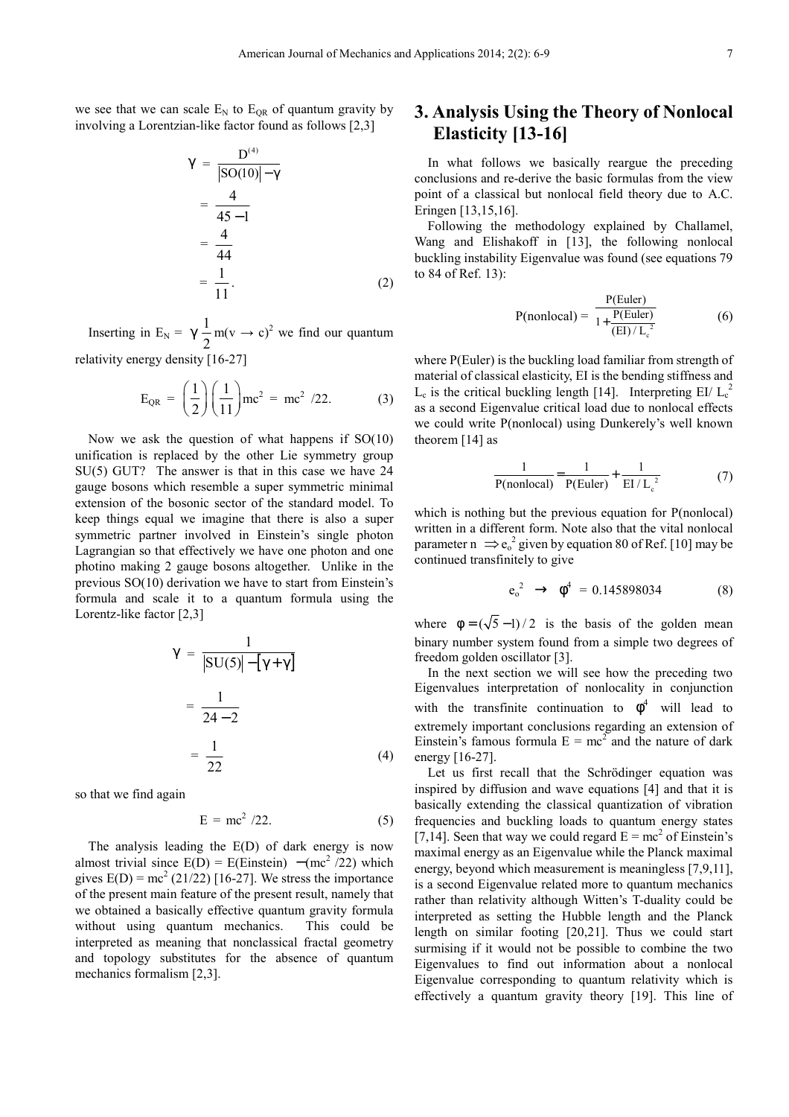we see that we can scale  $E_N$  to  $E_{OR}$  of quantum gravity by involving a Lorentzian-like factor found as follows [2,3]

$$
\gamma = \frac{D^{(4)}}{|\text{SO}(10)| - \gamma} = \frac{4}{45 - 1} = \frac{4}{44} = \frac{1}{11}.
$$
 (2)

Inserting in E<sub>N</sub> =  $\gamma \frac{1}{2}$ 2  $m(v \rightarrow c)^2$  we find our quantum relativity energy density [16-27]

$$
E_{QR} = \left(\frac{1}{2}\right) \left(\frac{1}{11}\right) mc^2 = mc^2 / 22.
$$
 (3)

Now we ask the question of what happens if SO(10) unification is replaced by the other Lie symmetry group SU(5) GUT? The answer is that in this case we have 24 gauge bosons which resemble a super symmetric minimal extension of the bosonic sector of the standard model. To keep things equal we imagine that there is also a super symmetric partner involved in Einstein's single photon Lagrangian so that effectively we have one photon and one photino making 2 gauge bosons altogether. Unlike in the previous SO(10) derivation we have to start from Einstein's formula and scale it to a quantum formula using the Lorentz-like factor [2,3]

$$
\gamma = \frac{1}{|\text{SU}(5)| - [\gamma + \gamma]}
$$

$$
= \frac{1}{24 - 2}
$$

$$
= \frac{1}{22}
$$
(4)

so that we find again

$$
E = mc^2 / 22. \tag{5}
$$

The analysis leading the E(D) of dark energy is now almost trivial since  $E(D) = E(Einstein) - (mc^2 / 22)$  which gives  $E(D) = mc^2 (21/22)$  [16-27]. We stress the importance of the present main feature of the present result, namely that we obtained a basically effective quantum gravity formula without using quantum mechanics. This could be interpreted as meaning that nonclassical fractal geometry and topology substitutes for the absence of quantum mechanics formalism [2,3].

## **3. Analysis Using the Theory of Nonlocal Elasticity [13-16]**

In what follows we basically reargue the preceding conclusions and re-derive the basic formulas from the view point of a classical but nonlocal field theory due to A.C. Eringen [13,15,16].

Following the methodology explained by Challamel, Wang and Elishakoff in [13], the following nonlocal buckling instability Eigenvalue was found (see equations 79 to 84 of Ref. 13):

$$
P(\text{nonlocal}) = \frac{P(\text{Euler})}{1 + \frac{P(\text{Euler})}{(\text{EI}) / L_c^2}}
$$
(6)

where P(Euler) is the buckling load familiar from strength of material of classical elasticity, EI is the bending stiffness and  $L_c$  is the critical buckling length [14]. Interpreting EI/  $L_c^2$ as a second Eigenvalue critical load due to nonlocal effects we could write P(nonlocal) using Dunkerely's well known theorem [14] as

$$
\frac{1}{P(\text{nonlocal})} = \frac{1}{P(\text{Euler})} + \frac{1}{EI/L_c^2}
$$
(7)

which is nothing but the previous equation for P(nonlocal) written in a different form. Note also that the vital nonlocal parameter  $n \implies e_0^2$  given by equation 80 of Ref. [10] may be continued transfinitely to give

$$
e_0^2 \rightarrow \phi^4 = 0.145898034
$$
 (8)

where  $\phi = (\sqrt{5}-1)/2$  is the basis of the golden mean binary number system found from a simple two degrees of freedom golden oscillator [3].

In the next section we will see how the preceding two Eigenvalues interpretation of nonlocality in conjunction with the transfinite continuation to  $\phi^4$  will lead to extremely important conclusions regarding an extension of Einstein's famous formula  $E = mc^2$  and the nature of dark energy [16-27].

Let us first recall that the Schrödinger equation was inspired by diffusion and wave equations [4] and that it is basically extending the classical quantization of vibration frequencies and buckling loads to quantum energy states [7,14]. Seen that way we could regard  $E = mc^2$  of Einstein's maximal energy as an Eigenvalue while the Planck maximal energy, beyond which measurement is meaningless [7,9,11], is a second Eigenvalue related more to quantum mechanics rather than relativity although Witten's T-duality could be interpreted as setting the Hubble length and the Planck length on similar footing [20,21]. Thus we could start surmising if it would not be possible to combine the two Eigenvalues to find out information about a nonlocal Eigenvalue corresponding to quantum relativity which is effectively a quantum gravity theory [19]. This line of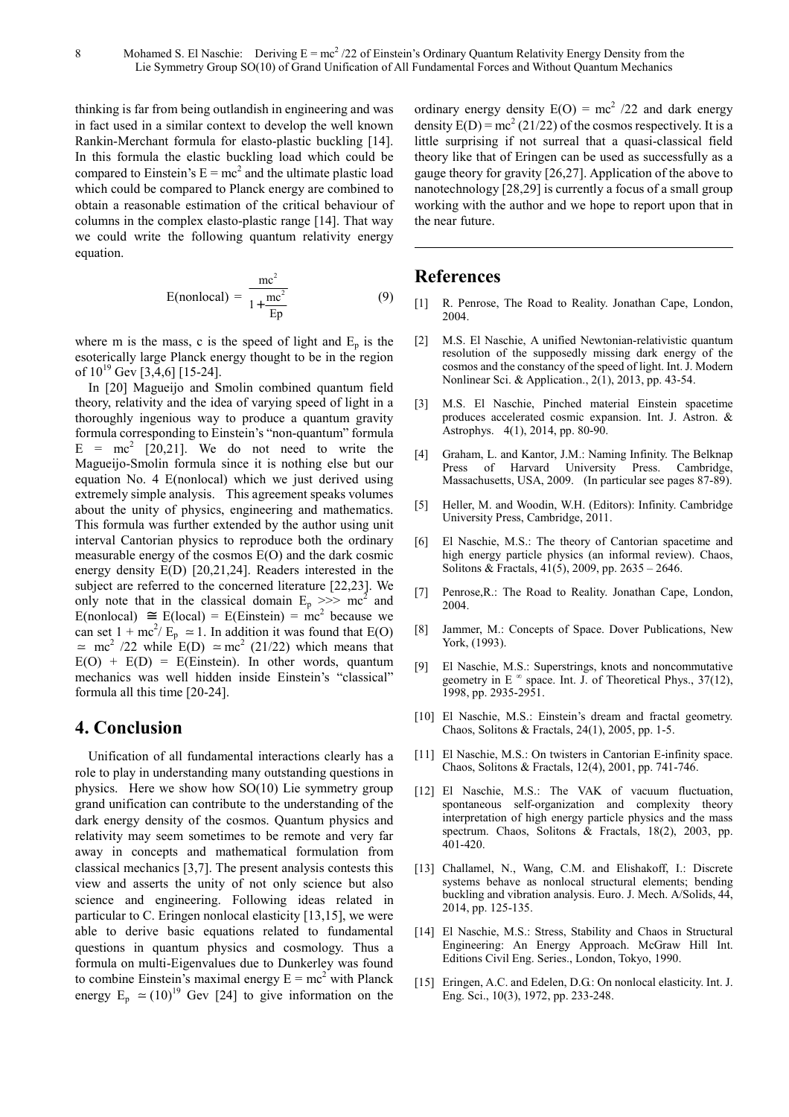thinking is far from being outlandish in engineering and was in fact used in a similar context to develop the well known Rankin-Merchant formula for elasto-plastic buckling [14]. In this formula the elastic buckling load which could be compared to Einstein's  $E = mc^2$  and the ultimate plastic load which could be compared to Planck energy are combined to obtain a reasonable estimation of the critical behaviour of columns in the complex elasto-plastic range [14]. That way we could write the following quantum relativity energy equation.

$$
E(\text{nonlocal}) = \frac{mc^2}{1 + \frac{mc^2}{Ep}}\tag{9}
$$

where m is the mass, c is the speed of light and  $E_p$  is the esoterically large Planck energy thought to be in the region of  $10^{19}$  Gev [3,4,6] [15-24].

In [20] Magueijo and Smolin combined quantum field theory, relativity and the idea of varying speed of light in a thoroughly ingenious way to produce a quantum gravity formula corresponding to Einstein's "non-quantum" formula  $E = mc^2$  [20,21]. We do not need to write the Magueijo-Smolin formula since it is nothing else but our equation No. 4 E(nonlocal) which we just derived using extremely simple analysis. This agreement speaks volumes about the unity of physics, engineering and mathematics. This formula was further extended by the author using unit interval Cantorian physics to reproduce both the ordinary measurable energy of the cosmos E(O) and the dark cosmic energy density E(D) [20,21,24]. Readers interested in the subject are referred to the concerned literature [22,23]. We only note that in the classical domain  $E_p \gg > \text{mc}^2$  and  $E(nonlocal) \cong E(local) = E(Einstein) = mc^2$  because we can set  $1 + mc^2/E_p \approx 1$ . In addition it was found that E(O)  $\approx$  mc<sup>2</sup> /22 while E(D)  $\approx$  mc<sup>2</sup> (21/22) which means that  $E(O) + E(D) = E(Einstein)$ . In other words, quantum mechanics was well hidden inside Einstein's "classical" formula all this time [20-24].

#### **4. Conclusion**

Unification of all fundamental interactions clearly has a role to play in understanding many outstanding questions in physics. Here we show how SO(10) Lie symmetry group grand unification can contribute to the understanding of the dark energy density of the cosmos. Quantum physics and relativity may seem sometimes to be remote and very far away in concepts and mathematical formulation from classical mechanics [3,7]. The present analysis contests this view and asserts the unity of not only science but also science and engineering. Following ideas related in particular to C. Eringen nonlocal elasticity [13,15], we were able to derive basic equations related to fundamental questions in quantum physics and cosmology. Thus a formula on multi-Eigenvalues due to Dunkerley was found to combine Einstein's maximal energy  $E = mc^2$  with Planck energy  $E_p \approx (10)^{19}$  Gev [24] to give information on the

ordinary energy density  $E(O) = mc^2 / 22$  and dark energy density  $E(D) = mc^2 (21/22)$  of the cosmos respectively. It is a little surprising if not surreal that a quasi-classical field theory like that of Eringen can be used as successfully as a gauge theory for gravity [26,27]. Application of the above to nanotechnology [28,29] is currently a focus of a small group working with the author and we hope to report upon that in the near future.

## **References**

- [1] R. Penrose, The Road to Reality. Jonathan Cape, London, 2004.
- [2] M.S. El Naschie, A unified Newtonian-relativistic quantum resolution of the supposedly missing dark energy of the cosmos and the constancy of the speed of light. Int. J. Modern Nonlinear Sci. & Application., 2(1), 2013, pp. 43-54.
- [3] M.S. El Naschie, Pinched material Einstein spacetime produces accelerated cosmic expansion. Int. J. Astron. & Astrophys. 4(1), 2014, pp. 80-90.
- [4] Graham, L. and Kantor, J.M.: Naming Infinity. The Belknap Press of Harvard University Press. Cambridge, Massachusetts, USA, 2009. (In particular see pages 87-89).
- [5] Heller, M. and Woodin, W.H. (Editors): Infinity. Cambridge University Press, Cambridge, 2011.
- [6] El Naschie, M.S.: The theory of Cantorian spacetime and high energy particle physics (an informal review). Chaos, Solitons & Fractals, 41(5), 2009, pp. 2635 – 2646.
- [7] Penrose,R.: The Road to Reality. Jonathan Cape, London, 2004.
- [8] Jammer, M.: Concepts of Space. Dover Publications, New York, (1993).
- [9] El Naschie, M.S.: Superstrings, knots and noncommutative geometry in E  $^{\infty}$  space. Int. J. of Theoretical Phys., 37(12), 1998, pp. 2935-2951.
- [10] El Naschie, M.S.: Einstein's dream and fractal geometry. Chaos, Solitons & Fractals, 24(1), 2005, pp. 1-5.
- [11] El Naschie, M.S.: On twisters in Cantorian E-infinity space. Chaos, Solitons & Fractals, 12(4), 2001, pp. 741-746.
- [12] El Naschie, M.S.: The VAK of vacuum fluctuation, spontaneous self-organization and complexity theory interpretation of high energy particle physics and the mass spectrum. Chaos, Solitons & Fractals, 18(2), 2003, pp. 401-420.
- [13] Challamel, N., Wang, C.M. and Elishakoff, I.: Discrete systems behave as nonlocal structural elements; bending buckling and vibration analysis. Euro. J. Mech. A/Solids, 44, 2014, pp. 125-135.
- [14] El Naschie, M.S.: Stress, Stability and Chaos in Structural Engineering: An Energy Approach. McGraw Hill Int. Editions Civil Eng. Series., London, Tokyo, 1990.
- [15] Eringen, A.C. and Edelen, D.G.: On nonlocal elasticity. Int. J. Eng. Sci., 10(3), 1972, pp. 233-248.